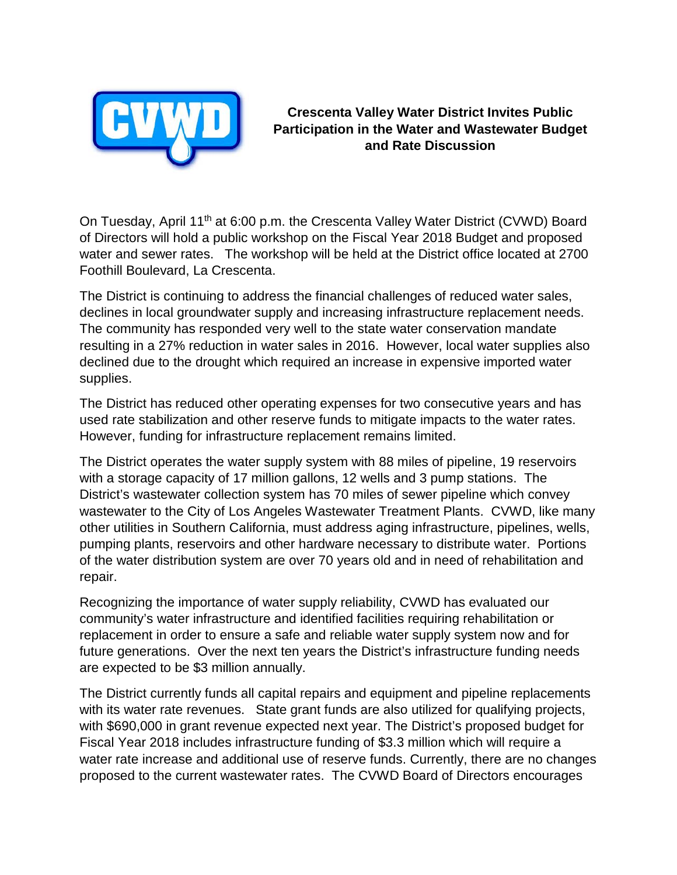

**Crescenta Valley Water District Invites Public Participation in the Water and Wastewater Budget and Rate Discussion**

On Tuesday, April 11th at 6:00 p.m. the Crescenta Valley Water District (CVWD) Board of Directors will hold a public workshop on the Fiscal Year 2018 Budget and proposed water and sewer rates. The workshop will be held at the District office located at 2700 Foothill Boulevard, La Crescenta.

The District is continuing to address the financial challenges of reduced water sales, declines in local groundwater supply and increasing infrastructure replacement needs. The community has responded very well to the state water conservation mandate resulting in a 27% reduction in water sales in 2016. However, local water supplies also declined due to the drought which required an increase in expensive imported water supplies.

The District has reduced other operating expenses for two consecutive years and has used rate stabilization and other reserve funds to mitigate impacts to the water rates. However, funding for infrastructure replacement remains limited.

The District operates the water supply system with 88 miles of pipeline, 19 reservoirs with a storage capacity of 17 million gallons, 12 wells and 3 pump stations. The District's wastewater collection system has 70 miles of sewer pipeline which convey wastewater to the City of Los Angeles Wastewater Treatment Plants. CVWD, like many other utilities in Southern California, must address aging infrastructure, pipelines, wells, pumping plants, reservoirs and other hardware necessary to distribute water. Portions of the water distribution system are over 70 years old and in need of rehabilitation and repair.

Recognizing the importance of water supply reliability, CVWD has evaluated our community's water infrastructure and identified facilities requiring rehabilitation or replacement in order to ensure a safe and reliable water supply system now and for future generations. Over the next ten years the District's infrastructure funding needs are expected to be \$3 million annually.

The District currently funds all capital repairs and equipment and pipeline replacements with its water rate revenues. State grant funds are also utilized for qualifying projects, with \$690,000 in grant revenue expected next year. The District's proposed budget for Fiscal Year 2018 includes infrastructure funding of \$3.3 million which will require a water rate increase and additional use of reserve funds. Currently, there are no changes proposed to the current wastewater rates. The CVWD Board of Directors encourages